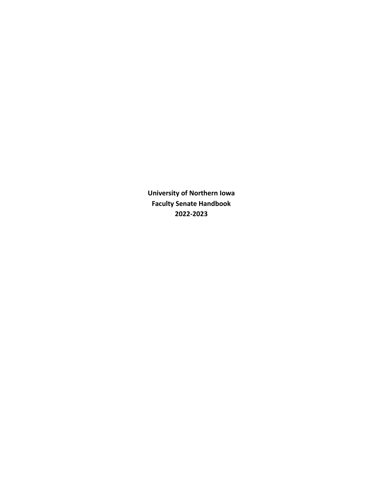**University of Northern Iowa Faculty Senate Handbook 2022-2023**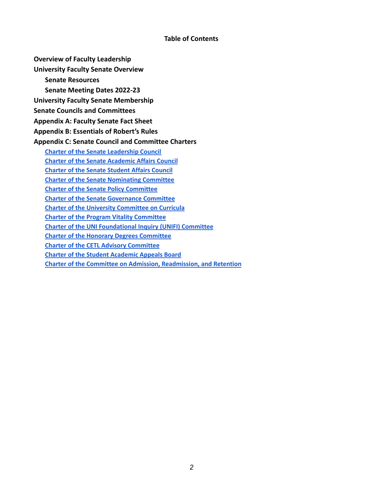### **Table of Contents**

**Overview of Faculty Leadership**

**University Faculty Senate Overview**

**Senate Resources**

**Senate Meeting Dates 2022-23**

**University Faculty Senate Membership**

**Senate Councils and Committees**

**Appendix A: Faculty Senate Fact Sheet**

**Appendix B: Essentials of Robert's Rules**

## **Appendix C: Senate Council and Committee Charters**

**Charter of the Senate [Leadership](#page-16-0) Council Charter of the Senate [Academic](#page-17-0) Affairs Council Charter of the Senate [Student](#page-18-0) Affairs Council Charter of the Senate [Nominating](#page-19-0) Committee Charter of the Senate Policy [Committee](#page-20-0) Charter of the Senate [Governance](#page-21-0) Committee Charter of the University [Committee](#page-22-0) on Curricula Charter of the Program Vitality [Committee](#page-23-0) Charter of the UNI [Foundational](#page-24-0) Inquiry (UNIFI) Committee Charter of the Honorary Degrees [Committee](#page-25-0) Charter of the CETL Advisory [Committee](#page-26-0) Charter of the Student [Academic](#page-27-0) Appeals Board**

**Charter of the Committee on Admission, [Readmission,](#page-28-0) and Retention**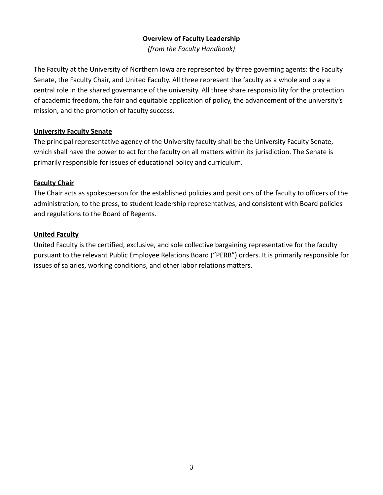## **Overview of Faculty Leadership**

*(from the Faculty Handbook)*

The Faculty at the University of Northern Iowa are represented by three governing agents: the Faculty Senate, the Faculty Chair, and United Faculty. All three represent the faculty as a whole and play a central role in the shared governance of the university. All three share responsibility for the protection of academic freedom, the fair and equitable application of policy, the advancement of the university's mission, and the promotion of faculty success.

## **University Faculty Senate**

The principal representative agency of the University faculty shall be the University Faculty Senate, which shall have the power to act for the faculty on all matters within its jurisdiction. The Senate is primarily responsible for issues of educational policy and curriculum.

## **Faculty Chair**

The Chair acts as spokesperson for the established policies and positions of the faculty to officers of the administration, to the press, to student leadership representatives, and consistent with Board policies and regulations to the Board of Regents.

## **United Faculty**

United Faculty is the certified, exclusive, and sole collective bargaining representative for the faculty pursuant to the relevant Public Employee Relations Board ("PERB") orders. It is primarily responsible for issues of salaries, working conditions, and other labor relations matters.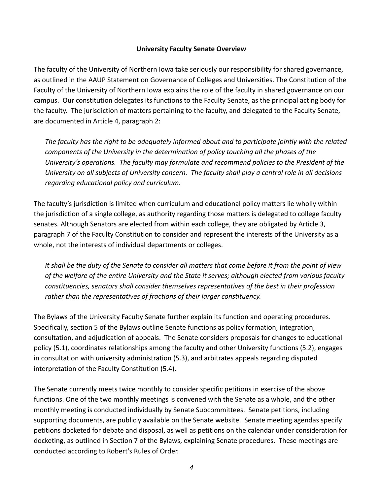## **University Faculty Senate Overview**

The faculty of the University of Northern Iowa take seriously our responsibility for shared governance, as outlined in the AAUP Statement on Governance of Colleges and Universities. The Constitution of the Faculty of the University of Northern Iowa explains the role of the faculty in shared governance on our campus. Our constitution delegates its functions to the Faculty Senate, as the principal acting body for the faculty. The jurisdiction of matters pertaining to the faculty, and delegated to the Faculty Senate, are documented in Article 4, paragraph 2:

*The faculty has the right to be adequately informed about and to participate jointly with the related components of the University in the determination of policy touching all the phases of the University's operations. The faculty may formulate and recommend policies to the President of the University on all subjects of University concern. The faculty shall play a central role in all decisions regarding educational policy and curriculum.*

The faculty's jurisdiction is limited when curriculum and educational policy matters lie wholly within the jurisdiction of a single college, as authority regarding those matters is delegated to college faculty senates. Although Senators are elected from within each college, they are obligated by Article 3, paragraph 7 of the Faculty Constitution to consider and represent the interests of the University as a whole, not the interests of individual departments or colleges.

*It shall be the duty of the Senate to consider all matters that come before it from the point of view of the welfare of the entire University and the State it serves; although elected from various faculty constituencies, senators shall consider themselves representatives of the best in their profession rather than the representatives of fractions of their larger constituency.*

The Bylaws of the University Faculty Senate further explain its function and operating procedures. Specifically, section 5 of the Bylaws outline Senate functions as policy formation, integration, consultation, and adjudication of appeals. The Senate considers proposals for changes to educational policy (5.1), coordinates relationships among the faculty and other University functions (5.2), engages in consultation with university administration (5.3), and arbitrates appeals regarding disputed interpretation of the Faculty Constitution (5.4).

The Senate currently meets twice monthly to consider specific petitions in exercise of the above functions. One of the two monthly meetings is convened with the Senate as a whole, and the other monthly meeting is conducted individually by Senate Subcommittees. Senate petitions, including supporting documents, are publicly available on the Senate website. Senate meeting agendas specify petitions docketed for debate and disposal, as well as petitions on the calendar under consideration for docketing, as outlined in Section 7 of the Bylaws, explaining Senate procedures. These meetings are conducted according to Robert's Rules of Order.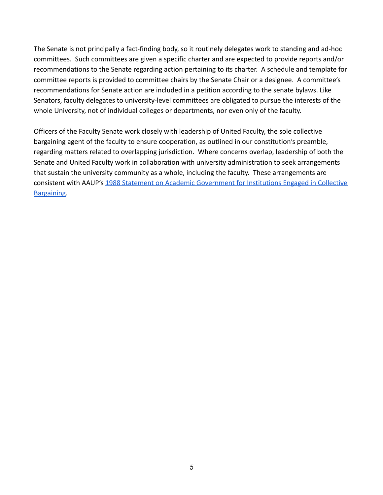The Senate is not principally a fact-finding body, so it routinely delegates work to standing and ad-hoc committees. Such committees are given a specific charter and are expected to provide reports and/or recommendations to the Senate regarding action pertaining to its charter. A schedule and template for committee reports is provided to committee chairs by the Senate Chair or a designee. A committee's recommendations for Senate action are included in a petition according to the senate bylaws. Like Senators, faculty delegates to university-level committees are obligated to pursue the interests of the whole University, not of individual colleges or departments, nor even only of the faculty.

Officers of the Faculty Senate work closely with leadership of United Faculty, the sole collective bargaining agent of the faculty to ensure cooperation, as outlined in our constitution's preamble, regarding matters related to overlapping jurisdiction. Where concerns overlap, leadership of both the Senate and United Faculty work in collaboration with university administration to seek arrangements that sustain the university community as a whole, including the faculty. These arrangements are consistent with AAUP's 1988 Statement on Academic [Government for Institutions Engaged in Collective](https://www.aaup.org/report/statement-academic-government-institutions-engaged-collective-bargaining) [Bargaining](https://www.aaup.org/report/statement-academic-government-institutions-engaged-collective-bargaining).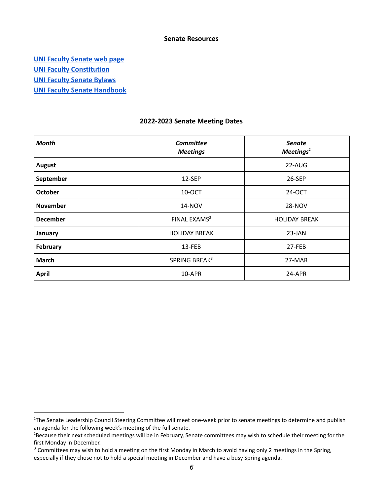#### **Senate Resources**

**[UNI Faculty Senate web page](https://senate.uni.edu/)**

**[UNI Faculty Constitution](https://senate.uni.edu/constitution-faculty)**

**[UNI Faculty Senate Bylaws](https://senate.uni.edu/uni-faculty-senate-bylaws-full-text)**

**[UNI Faculty Senate Handbook](https://senate.uni.edu/faculty-handbook)**

#### **2022-2023 Senate Meeting Dates**

| <b>Month</b>    | Committee<br><b>Meetings</b> | <b>Senate</b><br>Meetings <sup>1</sup> |
|-----------------|------------------------------|----------------------------------------|
| <b>August</b>   |                              | 22-AUG                                 |
| September       | 12-SEP                       | 26-SEP                                 |
| <b>October</b>  | 10-OCT                       | 24-OCT                                 |
| <b>November</b> | <b>14-NOV</b>                | <b>28-NOV</b>                          |
| <b>December</b> | FINAL EXAMS <sup>2</sup>     | <b>HOLIDAY BREAK</b>                   |
| January         | <b>HOLIDAY BREAK</b>         | 23-JAN                                 |
| February        | 13-FEB                       | 27-FEB                                 |
| <b>March</b>    | SPRING BREAK <sup>3</sup>    | 27-MAR                                 |
| <b>April</b>    | 10-APR                       | 24-APR                                 |

<sup>&</sup>lt;sup>1</sup>The Senate Leadership Council Steering Committee will meet one-week prior to senate meetings to determine and publish an agenda for the following week's meeting of the full senate.

<sup>&</sup>lt;sup>2</sup>Because their next scheduled meetings will be in February, Senate committees may wish to schedule their meeting for the first Monday in December.

 $3$  Committees may wish to hold a meeting on the first Monday in March to avoid having only 2 meetings in the Spring, especially if they chose not to hold a special meeting in December and have a busy Spring agenda.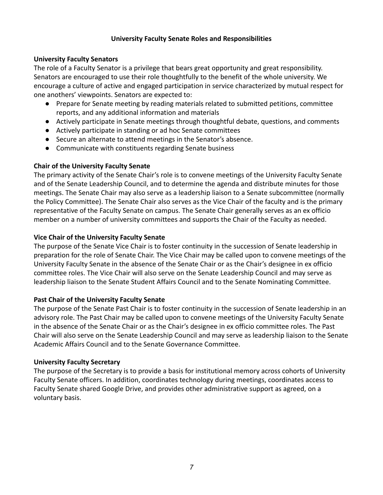## **University Faculty Senate Roles and Responsibilities**

## **University Faculty Senators**

The role of a Faculty Senator is a privilege that bears great opportunity and great responsibility. Senators are encouraged to use their role thoughtfully to the benefit of the whole university. We encourage a culture of active and engaged participation in service characterized by mutual respect for one anothers' viewpoints. Senators are expected to:

- Prepare for Senate meeting by reading materials related to submitted petitions, committee reports, and any additional information and materials
- Actively participate in Senate meetings through thoughtful debate, questions, and comments
- Actively participate in standing or ad hoc Senate committees
- Secure an alternate to attend meetings in the Senator's absence.
- Communicate with constituents regarding Senate business

## **Chair of the University Faculty Senate**

The primary activity of the Senate Chair's role is to convene meetings of the University Faculty Senate and of the Senate Leadership Council, and to determine the agenda and distribute minutes for those meetings. The Senate Chair may also serve as a leadership liaison to a Senate subcommittee (normally the Policy Committee). The Senate Chair also serves as the Vice Chair of the faculty and is the primary representative of the Faculty Senate on campus. The Senate Chair generally serves as an ex officio member on a number of university committees and supports the Chair of the Faculty as needed.

## **Vice Chair of the University Faculty Senate**

The purpose of the Senate Vice Chair is to foster continuity in the succession of Senate leadership in preparation for the role of Senate Chair. The Vice Chair may be called upon to convene meetings of the University Faculty Senate in the absence of the Senate Chair or as the Chair's designee in ex officio committee roles. The Vice Chair will also serve on the Senate Leadership Council and may serve as leadership liaison to the Senate Student Affairs Council and to the Senate Nominating Committee.

## **Past Chair of the University Faculty Senate**

The purpose of the Senate Past Chair is to foster continuity in the succession of Senate leadership in an advisory role. The Past Chair may be called upon to convene meetings of the University Faculty Senate in the absence of the Senate Chair or as the Chair's designee in ex officio committee roles. The Past Chair will also serve on the Senate Leadership Council and may serve as leadership liaison to the Senate Academic Affairs Council and to the Senate Governance Committee.

## **University Faculty Secretary**

The purpose of the Secretary is to provide a basis for institutional memory across cohorts of University Faculty Senate officers. In addition, coordinates technology during meetings, coordinates access to Faculty Senate shared Google Drive, and provides other administrative support as agreed, on a voluntary basis.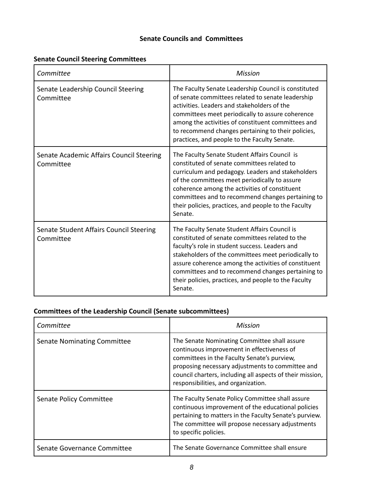## **Senate Councils and Committees**

## **Senate Council Steering Committees**

| Committee                                             | <b>Mission</b>                                                                                                                                                                                                                                                                                                                                                                            |
|-------------------------------------------------------|-------------------------------------------------------------------------------------------------------------------------------------------------------------------------------------------------------------------------------------------------------------------------------------------------------------------------------------------------------------------------------------------|
| Senate Leadership Council Steering<br>Committee       | The Faculty Senate Leadership Council is constituted<br>of senate committees related to senate leadership<br>activities. Leaders and stakeholders of the<br>committees meet periodically to assure coherence<br>among the activities of constituent committees and<br>to recommend changes pertaining to their policies,<br>practices, and people to the Faculty Senate.                  |
| Senate Academic Affairs Council Steering<br>Committee | The Faculty Senate Student Affairs Council is<br>constituted of senate committees related to<br>curriculum and pedagogy. Leaders and stakeholders<br>of the committees meet periodically to assure<br>coherence among the activities of constituent<br>committees and to recommend changes pertaining to<br>their policies, practices, and people to the Faculty<br>Senate.               |
| Senate Student Affairs Council Steering<br>Committee  | The Faculty Senate Student Affairs Council is<br>constituted of senate committees related to the<br>faculty's role in student success. Leaders and<br>stakeholders of the committees meet periodically to<br>assure coherence among the activities of constituent<br>committees and to recommend changes pertaining to<br>their policies, practices, and people to the Faculty<br>Senate. |

# **Committees of the Leadership Council (Senate subcommittees)**

| Committee                          | Mission                                                                                                                                                                                                                                                                                           |
|------------------------------------|---------------------------------------------------------------------------------------------------------------------------------------------------------------------------------------------------------------------------------------------------------------------------------------------------|
| <b>Senate Nominating Committee</b> | The Senate Nominating Committee shall assure<br>continuous improvement in effectiveness of<br>committees in the Faculty Senate's purview,<br>proposing necessary adjustments to committee and<br>council charters, including all aspects of their mission,<br>responsibilities, and organization. |
| Senate Policy Committee            | The Faculty Senate Policy Committee shall assure<br>continuous improvement of the educational policies<br>pertaining to matters in the Faculty Senate's purview.<br>The committee will propose necessary adjustments<br>to specific policies.                                                     |
| Senate Governance Committee        | The Senate Governance Committee shall ensure                                                                                                                                                                                                                                                      |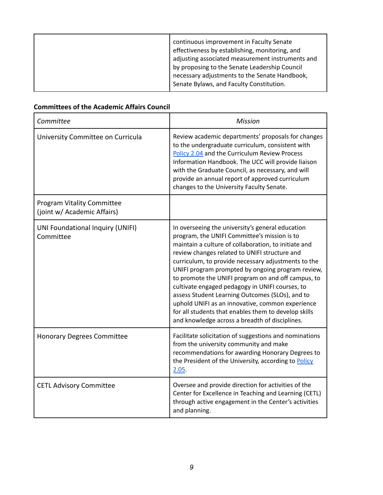## **Committees of the Academic Affairs Council**

| Committee                                                        | Mission                                                                                                                                                                                                                                                                                                                                                                                                                                                                                                                                                                                                                                         |
|------------------------------------------------------------------|-------------------------------------------------------------------------------------------------------------------------------------------------------------------------------------------------------------------------------------------------------------------------------------------------------------------------------------------------------------------------------------------------------------------------------------------------------------------------------------------------------------------------------------------------------------------------------------------------------------------------------------------------|
| University Committee on Curricula                                | Review academic departments' proposals for changes<br>to the undergraduate curriculum, consistent with<br>Policy 2.04 and the Curriculum Review Process<br>Information Handbook. The UCC will provide liaison<br>with the Graduate Council, as necessary, and will<br>provide an annual report of approved curriculum<br>changes to the University Faculty Senate.                                                                                                                                                                                                                                                                              |
| <b>Program Vitality Committee</b><br>(joint w/ Academic Affairs) |                                                                                                                                                                                                                                                                                                                                                                                                                                                                                                                                                                                                                                                 |
| UNI Foundational Inquiry (UNIFI)<br>Committee                    | In overseeing the university's general education<br>program, the UNIFI Committee's mission is to<br>maintain a culture of collaboration, to initiate and<br>review changes related to UNIFI structure and<br>curriculum, to provide necessary adjustments to the<br>UNIFI program prompted by ongoing program review,<br>to promote the UNIFI program on and off campus, to<br>cultivate engaged pedagogy in UNIFI courses, to<br>assess Student Learning Outcomes (SLOs), and to<br>uphold UNIFI as an innovative, common experience<br>for all students that enables them to develop skills<br>and knowledge across a breadth of disciplines. |
| <b>Honorary Degrees Committee</b>                                | Facilitate solicitation of suggestions and nominations<br>from the university community and make<br>recommendations for awarding Honorary Degrees to<br>the President of the University, according to Policy<br>2.05.                                                                                                                                                                                                                                                                                                                                                                                                                           |
| <b>CETL Advisory Committee</b>                                   | Oversee and provide direction for activities of the<br>Center for Excellence in Teaching and Learning (CETL)<br>through active engagement in the Center's activities<br>and planning.                                                                                                                                                                                                                                                                                                                                                                                                                                                           |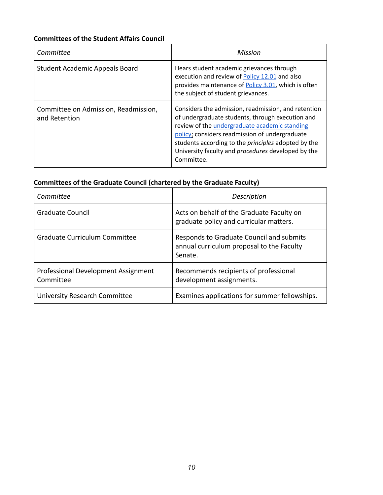## **Committees of the Student Affairs Council**

| Committee                                             | Mission                                                                                                                                                                                                                                                                                                                                      |
|-------------------------------------------------------|----------------------------------------------------------------------------------------------------------------------------------------------------------------------------------------------------------------------------------------------------------------------------------------------------------------------------------------------|
| <b>Student Academic Appeals Board</b>                 | Hears student academic grievances through<br>execution and review of Policy 12.01 and also<br>provides maintenance of <b>Policy 3.01</b> , which is often<br>the subject of student grievances.                                                                                                                                              |
| Committee on Admission, Readmission,<br>and Retention | Considers the admission, readmission, and retention<br>of undergraduate students, through execution and<br>review of the undergraduate academic standing<br>policy: considers readmission of undergraduate<br>students according to the <i>principles</i> adopted by the<br>University faculty and procedures developed by the<br>Committee. |

# **Committees of the Graduate Council (chartered by the Graduate Faculty)**

| Committee                                        | Description                                                                                      |
|--------------------------------------------------|--------------------------------------------------------------------------------------------------|
| <b>Graduate Council</b>                          | Acts on behalf of the Graduate Faculty on<br>graduate policy and curricular matters.             |
| <b>Graduate Curriculum Committee</b>             | Responds to Graduate Council and submits<br>annual curriculum proposal to the Faculty<br>Senate. |
| Professional Development Assignment<br>Committee | Recommends recipients of professional<br>development assignments.                                |
| University Research Committee                    | Examines applications for summer fellowships.                                                    |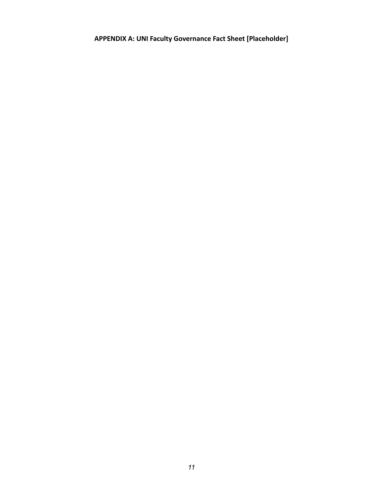**APPENDIX A: UNI Faculty Governance Fact Sheet [Placeholder]**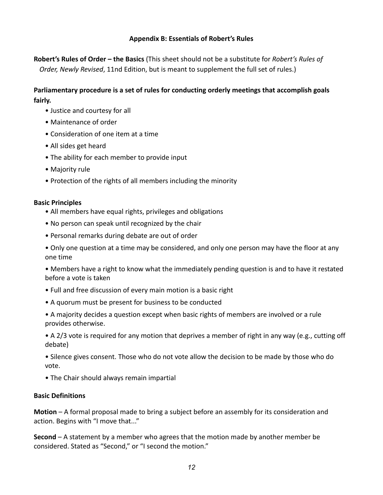## **Appendix B: Essentials of Robert's Rules**

**Robert's Rules of Order – the Basics** (This sheet should not be a substitute for *Robert's Rules of Order, Newly Revised*, 11nd Edition, but is meant to supplement the full set of rules.)

## **Parliamentary procedure is a set of rules for conducting orderly meetings that accomplish goals fairly.**

- Justice and courtesy for all
- Maintenance of order
- Consideration of one item at a time
- All sides get heard
- The ability for each member to provide input
- Majority rule
- Protection of the rights of all members including the minority

## **Basic Principles**

- All members have equal rights, privileges and obligations
- No person can speak until recognized by the chair
- Personal remarks during debate are out of order
- Only one question at a time may be considered, and only one person may have the floor at any one time

• Members have a right to know what the immediately pending question is and to have it restated before a vote is taken

- Full and free discussion of every main motion is a basic right
- A quorum must be present for business to be conducted
- A majority decides a question except when basic rights of members are involved or a rule provides otherwise.
- A 2/3 vote is required for any motion that deprives a member of right in any way (e.g., cutting off debate)
- Silence gives consent. Those who do not vote allow the decision to be made by those who do vote.
- The Chair should always remain impartial

## **Basic Definitions**

**Motion** – A formal proposal made to bring a subject before an assembly for its consideration and action. Begins with "I move that..."

**Second** – A statement by a member who agrees that the motion made by another member be considered. Stated as "Second," or "I second the motion."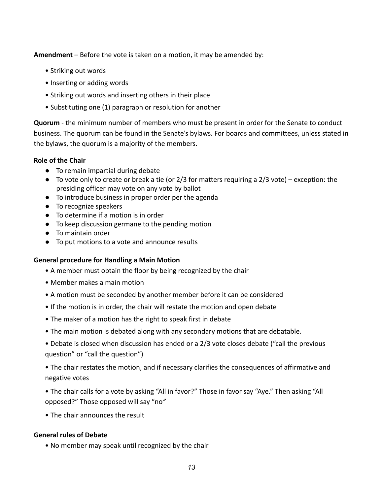**Amendment** – Before the vote is taken on a motion, it may be amended by:

- Striking out words
- Inserting or adding words
- Striking out words and inserting others in their place
- Substituting one (1) paragraph or resolution for another

**Quorum** - the minimum number of members who must be present in order for the Senate to conduct business. The quorum can be found in the Senate's bylaws. For boards and committees, unless stated in the bylaws, the quorum is a majority of the members.

## **Role of the Chair**

- To remain impartial during debate
- To vote only to create or break a tie (or 2/3 for matters requiring a 2/3 vote) exception: the presiding officer may vote on any vote by ballot
- To introduce business in proper order per the agenda
- To recognize speakers
- To determine if a motion is in order
- To keep discussion germane to the pending motion
- To maintain order
- To put motions to a vote and announce results

## **General procedure for Handling a Main Motion**

- A member must obtain the floor by being recognized by the chair
- Member makes a main motion
- A motion must be seconded by another member before it can be considered
- If the motion is in order, the chair will restate the motion and open debate
- The maker of a motion has the right to speak first in debate
- The main motion is debated along with any secondary motions that are debatable.
- Debate is closed when discussion has ended or a 2/3 vote closes debate ("call the previous question" or "call the question")
- The chair restates the motion, and if necessary clarifies the consequences of affirmative and negative votes
- The chair calls for a vote by asking "All in favor?" Those in favor say "Aye." Then asking "All opposed?" Those opposed will say "no*"*
- The chair announces the result

## **General rules of Debate**

• No member may speak until recognized by the chair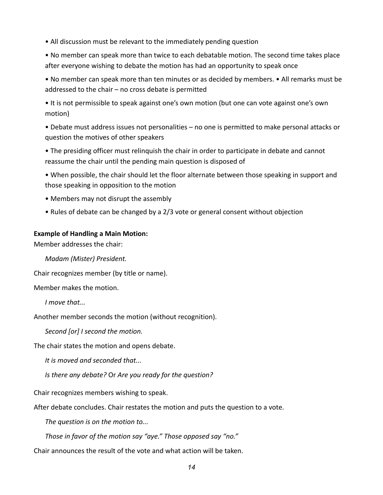• All discussion must be relevant to the immediately pending question

• No member can speak more than twice to each debatable motion. The second time takes place after everyone wishing to debate the motion has had an opportunity to speak once

• No member can speak more than ten minutes or as decided by members. • All remarks must be addressed to the chair – no cross debate is permitted

• It is not permissible to speak against one's own motion (but one can vote against one's own motion)

• Debate must address issues not personalities – no one is permitted to make personal attacks or question the motives of other speakers

• The presiding officer must relinquish the chair in order to participate in debate and cannot reassume the chair until the pending main question is disposed of

• When possible, the chair should let the floor alternate between those speaking in support and those speaking in opposition to the motion

- Members may not disrupt the assembly
- Rules of debate can be changed by a 2/3 vote or general consent without objection

## **Example of Handling a Main Motion:**

Member addresses the chair:

*Madam (Mister) President.*

Chair recognizes member (by title or name).

Member makes the motion.

*I move that...*

Another member seconds the motion (without recognition).

*Second [or] I second the motion.*

The chair states the motion and opens debate.

*It is moved and seconded that...*

*Is there any debate?* Or *Are you ready for the question?*

Chair recognizes members wishing to speak.

After debate concludes. Chair restates the motion and puts the question to a vote.

*The question is on the motion to...*

*Those in favor of the motion say "aye." Those opposed say "no."*

Chair announces the result of the vote and what action will be taken.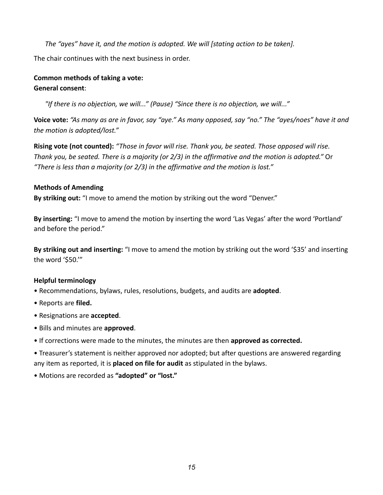*The "ayes" have it, and the motion is adopted. We will [stating action to be taken].*

The chair continues with the next business in order.

## **Common methods of taking a vote: General consent**:

*"If there is no objection, we will..." (Pause) "Since there is no objection, we will..."*

**Voice vote:** *"As many as are in favor, say "aye." As many opposed, say "no." The "ayes/noes" have it and the motion is adopted/lost."*

**Rising vote (not counted):** *"Those in favor will rise. Thank you, be seated. Those opposed will rise. Thank you, be seated. There is a majority (or 2/3) in the affirmative and the motion is adopted."* Or *"There is less than a majority (or 2/3) in the affirmative and the motion is lost."*

## **Methods of Amending**

**By striking out:** "I move to amend the motion by striking out the word "Denver."

**By inserting:** "I move to amend the motion by inserting the word 'Las Vegas' after the word 'Portland' and before the period."

**By striking out and inserting:** "I move to amend the motion by striking out the word '\$35' and inserting the word '\$50.'"

## **Helpful terminology**

- Recommendations, bylaws, rules, resolutions, budgets, and audits are **adopted**.
- Reports are **filed.**
- Resignations are **accepted**.
- Bills and minutes are **approved**.
- If corrections were made to the minutes, the minutes are then **approved as corrected.**

• Treasurer's statement is neither approved nor adopted; but after questions are answered regarding any item as reported, it is **placed on file for audit** as stipulated in the bylaws.

## • Motions are recorded as **"adopted" or "lost."**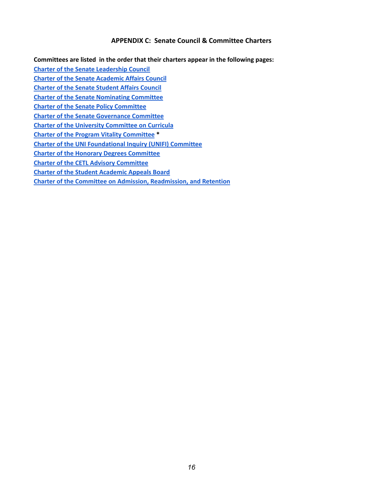#### **APPENDIX C: Senate Council & Committee Charters**

**Committees are listed in the order that their charters appear in the following pages:**

**Charter of the Senate [Leadership](#page-16-0) Council**

**Charter of the Senate [Academic](#page-17-0) Affairs Council**

**Charter of the Senate [Student](#page-18-0) Affairs Council**

**Charter of the Senate [Nominating](#page-19-0) Committee**

**Charter of the Senate Policy [Committee](#page-20-0)**

**Charter of the Senate [Governance](#page-21-0) Committee**

**Charter of the University [Committee](#page-22-0) on Curricula**

**Charter of the Program Vitality [Committee](#page-23-0) \***

**Charter of the UNI [Foundational](#page-24-0) Inquiry (UNIFI) Committee**

**Charter of the Honorary Degrees [Committee](#page-25-0)**

**Charter of the CETL Advisory [Committee](#page-26-0)**

**Charter of the Student [Academic](#page-27-0) Appeals Board**

**Charter of the Committee on Admission, [Readmission,](#page-28-0) and Retention**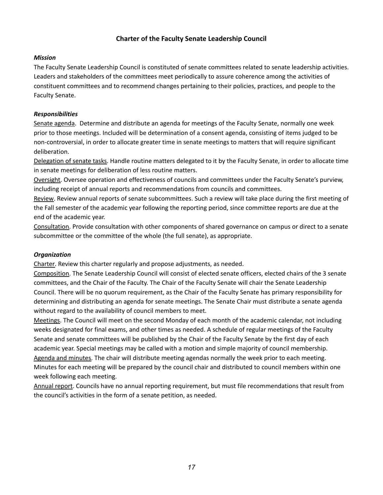## **Charter of the Faculty Senate Leadership Council**

### <span id="page-16-0"></span>*Mission*

The Faculty Senate Leadership Council is constituted of senate committees related to senate leadership activities. Leaders and stakeholders of the committees meet periodically to assure coherence among the activities of constituent committees and to recommend changes pertaining to their policies, practices, and people to the Faculty Senate.

### *Responsibilities*

Senate agenda. Determine and distribute an agenda for meetings of the Faculty Senate, normally one week prior to those meetings. Included will be determination of a consent agenda, consisting of items judged to be non-controversial, in order to allocate greater time in senate meetings to matters that will require significant deliberation.

Delegation of senate tasks. Handle routine matters delegated to it by the Faculty Senate, in order to allocate time in senate meetings for deliberation of less routine matters.

Oversight. Oversee operation and effectiveness of councils and committees under the Faculty Senate's purview, including receipt of annual reports and recommendations from councils and committees.

Review. Review annual reports of senate subcommittees. Such a review will take place during the first meeting of the Fall semester of the academic year following the reporting period, since committee reports are due at the end of the academic year.

Consultation. Provide consultation with other components of shared governance on campus or direct to a senate subcommittee or the committee of the whole (the full senate), as appropriate.

## *Organization*

Charter. Review this charter regularly and propose adjustments, as needed.

Composition. The Senate Leadership Council will consist of elected senate officers, elected chairs of the 3 senate committees, and the Chair of the Faculty. The Chair of the Faculty Senate will chair the Senate Leadership Council. There will be no quorum requirement, as the Chair of the Faculty Senate has primary responsibility for determining and distributing an agenda for senate meetings. The Senate Chair must distribute a senate agenda without regard to the availability of council members to meet.

Meetings. The Council will meet on the second Monday of each month of the academic calendar, not including weeks designated for final exams, and other times as needed. A schedule of regular meetings of the Faculty Senate and senate committees will be published by the Chair of the Faculty Senate by the first day of each academic year. Special meetings may be called with a motion and simple majority of council membership. Agenda and minutes. The chair will distribute meeting agendas normally the week prior to each meeting. Minutes for each meeting will be prepared by the council chair and distributed to council members within one week following each meeting.

Annual report. Councils have no annual reporting requirement, but must file recommendations that result from the council's activities in the form of a senate petition, as needed.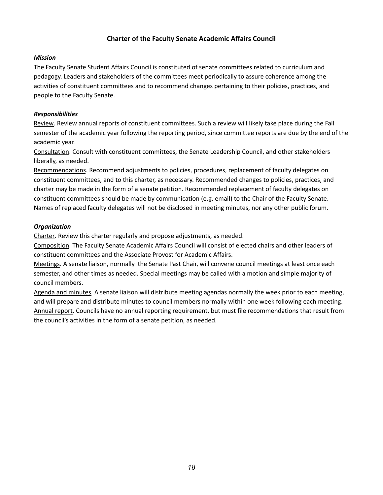## **Charter of the Faculty Senate Academic Affairs Council**

#### <span id="page-17-0"></span>*Mission*

The Faculty Senate Student Affairs Council is constituted of senate committees related to curriculum and pedagogy. Leaders and stakeholders of the committees meet periodically to assure coherence among the activities of constituent committees and to recommend changes pertaining to their policies, practices, and people to the Faculty Senate.

#### *Responsibilities*

Review. Review annual reports of constituent committees. Such a review will likely take place during the Fall semester of the academic year following the reporting period, since committee reports are due by the end of the academic year.

Consultation. Consult with constituent committees, the Senate Leadership Council, and other stakeholders liberally, as needed.

Recommendations. Recommend adjustments to policies, procedures, replacement of faculty delegates on constituent committees, and to this charter, as necessary. Recommended changes to policies, practices, and charter may be made in the form of a senate petition. Recommended replacement of faculty delegates on constituent committees should be made by communication (e.g. email) to the Chair of the Faculty Senate. Names of replaced faculty delegates will not be disclosed in meeting minutes, nor any other public forum.

### *Organization*

Charter. Review this charter regularly and propose adjustments, as needed.

Composition. The Faculty Senate Academic Affairs Council will consist of elected chairs and other leaders of constituent committees and the Associate Provost for Academic Affairs.

Meetings. A senate liaison, normally the Senate Past Chair, will convene council meetings at least once each semester, and other times as needed. Special meetings may be called with a motion and simple majority of council members.

Agenda and minutes. A senate liaison will distribute meeting agendas normally the week prior to each meeting, and will prepare and distribute minutes to council members normally within one week following each meeting. Annual report. Councils have no annual reporting requirement, but must file recommendations that result from the council's activities in the form of a senate petition, as needed.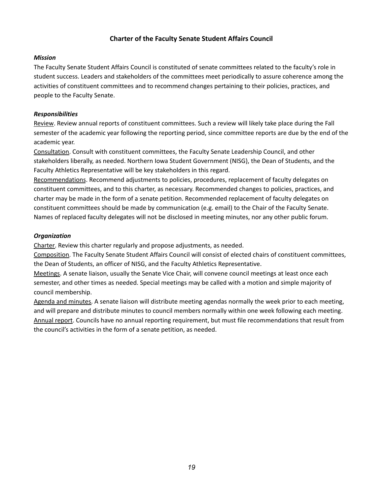## **Charter of the Faculty Senate Student Affairs Council**

#### <span id="page-18-0"></span>*Mission*

The Faculty Senate Student Affairs Council is constituted of senate committees related to the faculty's role in student success. Leaders and stakeholders of the committees meet periodically to assure coherence among the activities of constituent committees and to recommend changes pertaining to their policies, practices, and people to the Faculty Senate.

### *Responsibilities*

Review. Review annual reports of constituent committees. Such a review will likely take place during the Fall semester of the academic year following the reporting period, since committee reports are due by the end of the academic year.

Consultation. Consult with constituent committees, the Faculty Senate Leadership Council, and other stakeholders liberally, as needed. Northern Iowa Student Government (NISG), the Dean of Students, and the Faculty Athletics Representative will be key stakeholders in this regard.

Recommendations. Recommend adjustments to policies, procedures, replacement of faculty delegates on constituent committees, and to this charter, as necessary. Recommended changes to policies, practices, and charter may be made in the form of a senate petition. Recommended replacement of faculty delegates on constituent committees should be made by communication (e.g. email) to the Chair of the Faculty Senate. Names of replaced faculty delegates will not be disclosed in meeting minutes, nor any other public forum.

## *Organization*

Charter. Review this charter regularly and propose adjustments, as needed.

Composition. The Faculty Senate Student Affairs Council will consist of elected chairs of constituent committees, the Dean of Students, an officer of NISG, and the Faculty Athletics Representative.

Meetings. A senate liaison, usually the Senate Vice Chair, will convene council meetings at least once each semester, and other times as needed. Special meetings may be called with a motion and simple majority of council membership.

Agenda and minutes. A senate liaison will distribute meeting agendas normally the week prior to each meeting, and will prepare and distribute minutes to council members normally within one week following each meeting. Annual report. Councils have no annual reporting requirement, but must file recommendations that result from the council's activities in the form of a senate petition, as needed.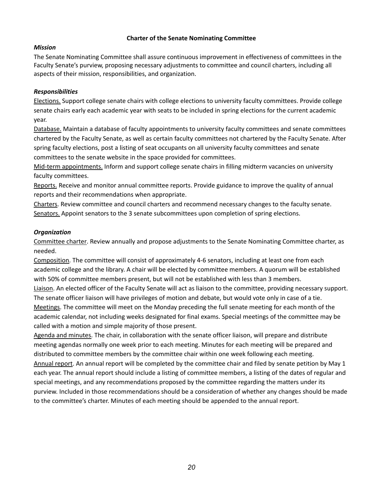## **Charter of the Senate Nominating Committee**

### <span id="page-19-0"></span>*Mission*

The Senate Nominating Committee shall assure continuous improvement in effectiveness of committees in the Faculty Senate's purview, proposing necessary adjustments to committee and council charters, including all aspects of their mission, responsibilities, and organization.

## *Responsibilities*

Elections. Support college senate chairs with college elections to university faculty committees. Provide college senate chairs early each academic year with seats to be included in spring elections for the current academic year.

Database. Maintain a database of faculty appointments to university faculty committees and senate committees chartered by the Faculty Senate, as well as certain faculty committees not chartered by the Faculty Senate. After spring faculty elections, post a listing of seat occupants on all university faculty committees and senate committees to the senate website in the space provided for committees.

Mid-term appointments. Inform and support college senate chairs in filling midterm vacancies on university faculty committees.

Reports. Receive and monitor annual committee reports. Provide guidance to improve the quality of annual reports and their recommendations when appropriate.

Charters. Review committee and council charters and recommend necessary changes to the faculty senate. Senators. Appoint senators to the 3 senate subcommittees upon completion of spring elections.

### *Organization*

Committee charter. Review annually and propose adjustments to the Senate Nominating Committee charter, as needed.

Composition. The committee will consist of approximately 4-6 senators, including at least one from each academic college and the library. A chair will be elected by committee members. A quorum will be established with 50% of committee members present, but will not be established with less than 3 members.

Liaison. An elected officer of the Faculty Senate will act as liaison to the committee, providing necessary support. The senate officer liaison will have privileges of motion and debate, but would vote only in case of a tie. Meetings. The committee will meet on the Monday preceding the full senate meeting for each month of the academic calendar, not including weeks designated for final exams. Special meetings of the committee may be called with a motion and simple majority of those present.

Agenda and minutes. The chair, in collaboration with the senate officer liaison, will prepare and distribute meeting agendas normally one week prior to each meeting. Minutes for each meeting will be prepared and distributed to committee members by the committee chair within one week following each meeting.

Annual report. An annual report will be completed by the committee chair and filed by senate petition by May 1 each year. The annual report should include a listing of committee members, a listing of the dates of regular and special meetings, and any recommendations proposed by the committee regarding the matters under its purview. Included in those recommendations should be a consideration of whether any changes should be made to the committee's charter. Minutes of each meeting should be appended to the annual report.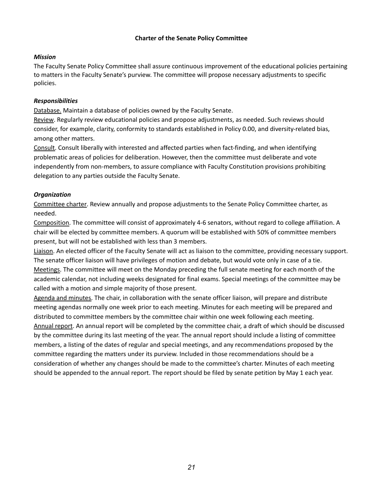### **Charter of the Senate Policy Committee**

### <span id="page-20-0"></span>*Mission*

The Faculty Senate Policy Committee shall assure continuous improvement of the educational policies pertaining to matters in the Faculty Senate's purview. The committee will propose necessary adjustments to specific policies.

### *Responsibilities*

Database. Maintain a database of policies owned by the Faculty Senate.

Review. Regularly review educational policies and propose adjustments, as needed. Such reviews should consider, for example, clarity, conformity to standards established in Policy 0.00, and diversity-related bias, among other matters.

Consult. Consult liberally with interested and affected parties when fact-finding, and when identifying problematic areas of policies for deliberation. However, then the committee must deliberate and vote independently from non-members, to assure compliance with Faculty Constitution provisions prohibiting delegation to any parties outside the Faculty Senate.

## *Organization*

Committee charter. Review annually and propose adjustments to the Senate Policy Committee charter, as needed.

Composition. The committee will consist of approximately 4-6 senators, without regard to college affiliation. A chair will be elected by committee members. A quorum will be established with 50% of committee members present, but will not be established with less than 3 members.

Liaison. An elected officer of the Faculty Senate will act as liaison to the committee, providing necessary support. The senate officer liaison will have privileges of motion and debate, but would vote only in case of a tie. Meetings. The committee will meet on the Monday preceding the full senate meeting for each month of the academic calendar, not including weeks designated for final exams. Special meetings of the committee may be called with a motion and simple majority of those present.

Agenda and minutes. The chair, in collaboration with the senate officer liaison, will prepare and distribute meeting agendas normally one week prior to each meeting. Minutes for each meeting will be prepared and distributed to committee members by the committee chair within one week following each meeting. Annual report. An annual report will be completed by the committee chair, a draft of which should be discussed by the committee during its last meeting of the year. The annual report should include a listing of committee members, a listing of the dates of regular and special meetings, and any recommendations proposed by the committee regarding the matters under its purview. Included in those recommendations should be a consideration of whether any changes should be made to the committee's charter. Minutes of each meeting should be appended to the annual report. The report should be filed by senate petition by May 1 each year.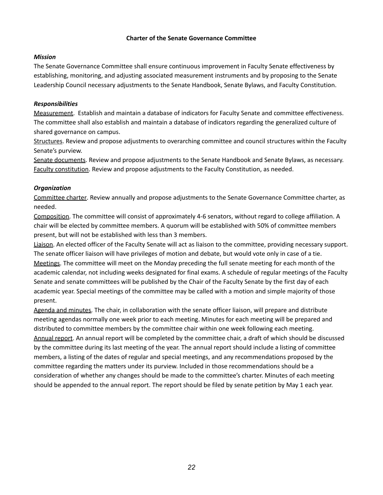### **Charter of the Senate Governance Committee**

### <span id="page-21-0"></span>*Mission*

The Senate Governance Committee shall ensure continuous improvement in Faculty Senate effectiveness by establishing, monitoring, and adjusting associated measurement instruments and by proposing to the Senate Leadership Council necessary adjustments to the Senate Handbook, Senate Bylaws, and Faculty Constitution.

### *Responsibilities*

Measurement. Establish and maintain a database of indicators for Faculty Senate and committee effectiveness. The committee shall also establish and maintain a database of indicators regarding the generalized culture of shared governance on campus.

Structures. Review and propose adjustments to overarching committee and council structures within the Faculty Senate's purview.

Senate documents. Review and propose adjustments to the Senate Handbook and Senate Bylaws, as necessary. Faculty constitution. Review and propose adjustments to the Faculty Constitution, as needed.

### *Organization*

Committee charter. Review annually and propose adjustments to the Senate Governance Committee charter, as needed.

Composition. The committee will consist of approximately 4-6 senators, without regard to college affiliation. A chair will be elected by committee members. A quorum will be established with 50% of committee members present, but will not be established with less than 3 members.

Liaison. An elected officer of the Faculty Senate will act as liaison to the committee, providing necessary support. The senate officer liaison will have privileges of motion and debate, but would vote only in case of a tie. Meetings. The committee will meet on the Monday preceding the full senate meeting for each month of the academic calendar, not including weeks designated for final exams. A schedule of regular meetings of the Faculty Senate and senate committees will be published by the Chair of the Faculty Senate by the first day of each academic year. Special meetings of the committee may be called with a motion and simple majority of those present.

Agenda and minutes. The chair, in collaboration with the senate officer liaison, will prepare and distribute meeting agendas normally one week prior to each meeting. Minutes for each meeting will be prepared and distributed to committee members by the committee chair within one week following each meeting. Annual report. An annual report will be completed by the committee chair, a draft of which should be discussed by the committee during its last meeting of the year. The annual report should include a listing of committee members, a listing of the dates of regular and special meetings, and any recommendations proposed by the committee regarding the matters under its purview. Included in those recommendations should be a consideration of whether any changes should be made to the committee's charter. Minutes of each meeting should be appended to the annual report. The report should be filed by senate petition by May 1 each year.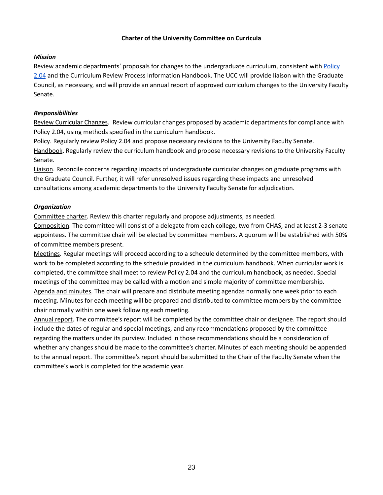## **Charter of the University Committee on Curricula**

### <span id="page-22-0"></span>*Mission*

Review academic departments' proposals for changes to the undergraduate curriculum, consistent with [Policy](https://policies.uni.edu/204) [2.04](https://policies.uni.edu/204) and the Curriculum Review Process Information Handbook. The UCC will provide liaison with the Graduate Council, as necessary, and will provide an annual report of approved curriculum changes to the University Faculty Senate.

## *Responsibilities*

Review Curricular Changes. Review curricular changes proposed by academic departments for compliance with Policy 2.04, using methods specified in the curriculum handbook.

Policy. Regularly review Policy 2.04 and propose necessary revisions to the University Faculty Senate. Handbook. Regularly review the curriculum handbook and propose necessary revisions to the University Faculty Senate.

Liaison. Reconcile concerns regarding impacts of undergraduate curricular changes on graduate programs with the Graduate Council. Further, it will refer unresolved issues regarding these impacts and unresolved consultations among academic departments to the University Faculty Senate for adjudication.

### *Organization*

Committee charter. Review this charter regularly and propose adjustments, as needed.

Composition. The committee will consist of a delegate from each college, two from CHAS, and at least 2-3 senate appointees. The committee chair will be elected by committee members. A quorum will be established with 50% of committee members present.

Meetings. Regular meetings will proceed according to a schedule determined by the committee members, with work to be completed according to the schedule provided in the curriculum handbook. When curricular work is completed, the committee shall meet to review Policy 2.04 and the curriculum handbook, as needed. Special meetings of the committee may be called with a motion and simple majority of committee membership. Agenda and minutes. The chair will prepare and distribute meeting agendas normally one week prior to each meeting. Minutes for each meeting will be prepared and distributed to committee members by the committee chair normally within one week following each meeting.

Annual report. The committee's report will be completed by the committee chair or designee. The report should include the dates of regular and special meetings, and any recommendations proposed by the committee regarding the matters under its purview. Included in those recommendations should be a consideration of whether any changes should be made to the committee's charter. Minutes of each meeting should be appended to the annual report. The committee's report should be submitted to the Chair of the Faculty Senate when the committee's work is completed for the academic year.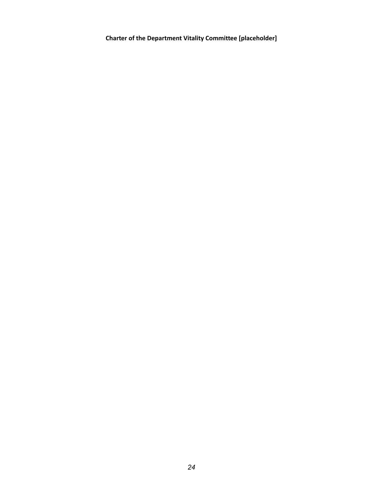<span id="page-23-0"></span>**Charter of the Department Vitality Committee [placeholder]**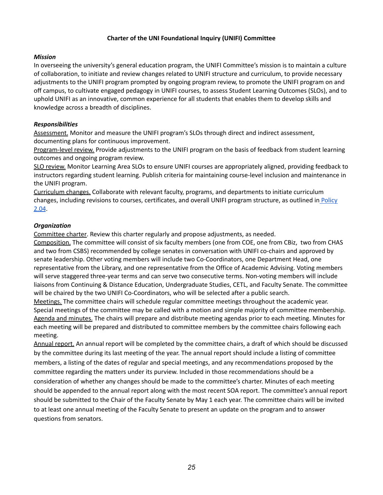## **Charter of the UNI Foundational Inquiry (UNIFI) Committee**

#### <span id="page-24-0"></span>*Mission*

In overseeing the university's general education program, the UNIFI Committee's mission is to maintain a culture of collaboration, to initiate and review changes related to UNIFI structure and curriculum, to provide necessary adjustments to the UNIFI program prompted by ongoing program review, to promote the UNIFI program on and off campus, to cultivate engaged pedagogy in UNIFI courses, to assess Student Learning Outcomes (SLOs), and to uphold UNIFI as an innovative, common experience for all students that enables them to develop skills and knowledge across a breadth of disciplines.

#### *Responsibilities*

Assessment. Monitor and measure the UNIFI program's SLOs through direct and indirect assessment, documenting plans for continuous improvement.

Program-level review. Provide adjustments to the UNIFI program on the basis of feedback from student learning outcomes and ongoing program review.

SLO review. Monitor Learning Area SLOs to ensure UNIFI courses are appropriately aligned, providing feedback to instructors regarding student learning. Publish criteria for maintaining course-level inclusion and maintenance in the UNIFI program.

Curriculum changes. Collaborate with relevant faculty, programs, and departments to initiate curriculum changes, including revisions to courses, certificates, and overall UNIFI program structure, as outlined in [Policy](https://policies.uni.edu/204) [2.04](https://policies.uni.edu/204).

#### *Organization*

Committee charter. Review this charter regularly and propose adjustments, as needed.

Composition. The committee will consist of six faculty members (one from COE, one from CBiz, two from CHAS and two from CSBS) recommended by college senates in conversation with UNIFI co-chairs and approved by senate leadership. Other voting members will include two Co-Coordinators, one Department Head, one representative from the Library, and one representative from the Office of Academic Advising. Voting members will serve staggered three-year terms and can serve two consecutive terms. Non-voting members will include liaisons from Continuing & Distance Education, Undergraduate Studies, CETL, and Faculty Senate. The committee will be chaired by the two UNIFI Co-Coordinators, who will be selected after a public search.

Meetings. The committee chairs will schedule regular committee meetings throughout the academic year. Special meetings of the committee may be called with a motion and simple majority of committee membership. Agenda and minutes. The chairs will prepare and distribute meeting agendas prior to each meeting. Minutes for each meeting will be prepared and distributed to committee members by the committee chairs following each meeting.

Annual report. An annual report will be completed by the committee chairs, a draft of which should be discussed by the committee during its last meeting of the year. The annual report should include a listing of committee members, a listing of the dates of regular and special meetings, and any recommendations proposed by the committee regarding the matters under its purview. Included in those recommendations should be a consideration of whether any changes should be made to the committee's charter. Minutes of each meeting should be appended to the annual report along with the most recent SOA report. The committee's annual report should be submitted to the Chair of the Faculty Senate by May 1 each year. The committee chairs will be invited to at least one annual meeting of the Faculty Senate to present an update on the program and to answer questions from senators.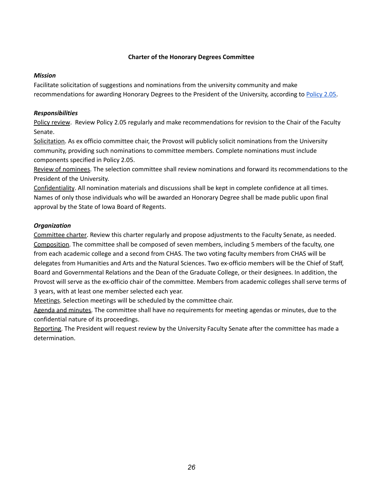#### **Charter of the Honorary Degrees Committee**

#### <span id="page-25-0"></span>*Mission*

Facilitate solicitation of suggestions and nominations from the university community and make recommendations for awarding Honorary Degrees to the President of the University, according to [Policy](https://policies.uni.edu/205) 2.05.

## *Responsibilities*

Policy review. Review Policy 2.05 regularly and make recommendations for revision to the Chair of the Faculty Senate.

Solicitation. As ex officio committee chair, the Provost will publicly solicit nominations from the University community, providing such nominations to committee members. Complete nominations must include components specified in Policy 2.05.

Review of nominees. The selection committee shall review nominations and forward its recommendations to the President of the University.

Confidentiality. All nomination materials and discussions shall be kept in complete confidence at all times. Names of only those individuals who will be awarded an Honorary Degree shall be made public upon final approval by the State of Iowa Board of Regents.

## *Organization*

Committee charter. Review this charter regularly and propose adjustments to the Faculty Senate, as needed. Composition. The committee shall be composed of seven members, including 5 members of the faculty, one from each academic college and a second from CHAS. The two voting faculty members from CHAS will be delegates from Humanities and Arts and the Natural Sciences. Two ex-officio members will be the Chief of Staff, Board and Governmental Relations and the Dean of the Graduate College, or their designees. In addition, the Provost will serve as the ex-officio chair of the committee. Members from academic colleges shall serve terms of 3 years, with at least one member selected each year.

Meetings. Selection meetings will be scheduled by the committee chair.

Agenda and minutes. The committee shall have no requirements for meeting agendas or minutes, due to the confidential nature of its proceedings.

Reporting. The President will request review by the University Faculty Senate after the committee has made a determination.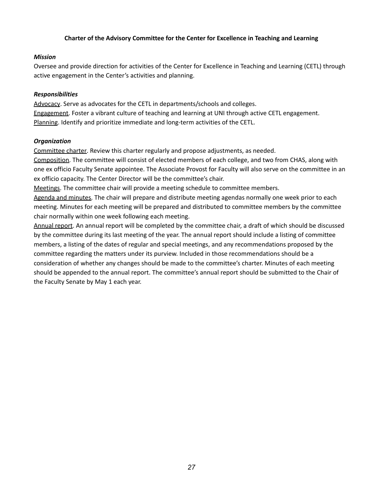## **Charter of the Advisory Committee for the Center for Excellence in Teaching and Learning**

#### <span id="page-26-0"></span>*Mission*

Oversee and provide direction for activities of the Center for Excellence in Teaching and Learning (CETL) through active engagement in the Center's activities and planning.

#### *Responsibilities*

Advocacy. Serve as advocates for the CETL in departments/schools and colleges. Engagement. Foster a vibrant culture of teaching and learning at UNI through active CETL engagement. Planning. Identify and prioritize immediate and long-term activities of the CETL.

### *Organization*

Committee charter. Review this charter regularly and propose adjustments, as needed.

Composition. The committee will consist of elected members of each college, and two from CHAS, along with one ex officio Faculty Senate appointee. The Associate Provost for Faculty will also serve on the committee in an ex officio capacity. The Center Director will be the committee's chair.

Meetings. The committee chair will provide a meeting schedule to committee members.

Agenda and minutes. The chair will prepare and distribute meeting agendas normally one week prior to each meeting. Minutes for each meeting will be prepared and distributed to committee members by the committee chair normally within one week following each meeting.

Annual report. An annual report will be completed by the committee chair, a draft of which should be discussed by the committee during its last meeting of the year. The annual report should include a listing of committee members, a listing of the dates of regular and special meetings, and any recommendations proposed by the committee regarding the matters under its purview. Included in those recommendations should be a consideration of whether any changes should be made to the committee's charter. Minutes of each meeting should be appended to the annual report. The committee's annual report should be submitted to the Chair of the Faculty Senate by May 1 each year.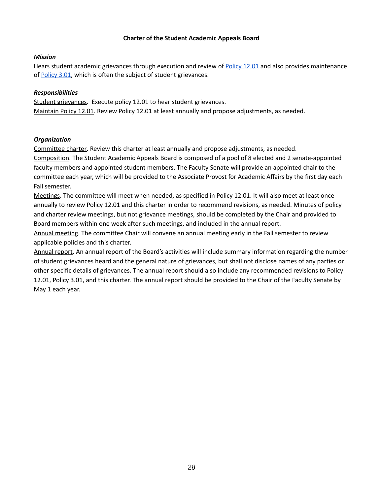### **Charter of the Student Academic Appeals Board**

### <span id="page-27-0"></span>*Mission*

Hears student academic grievances through execution and review of [Policy](https://policies.uni.edu/1201) 12.01 and also provides maintenance of [Policy](https://policies.uni.edu/301) 3.01, which is often the subject of student grievances.

## *Responsibilities*

Student grievances. Execute policy 12.01 to hear student grievances. Maintain Policy 12.01. Review Policy 12.01 at least annually and propose adjustments, as needed.

### *Organization*

Committee charter. Review this charter at least annually and propose adjustments, as needed.

Composition. The Student Academic Appeals Board is composed of a pool of 8 elected and 2 senate-appointed faculty members and appointed student members. The Faculty Senate will provide an appointed chair to the committee each year, which will be provided to the Associate Provost for Academic Affairs by the first day each Fall semester.

Meetings. The committee will meet when needed, as specified in Policy 12.01. It will also meet at least once annually to review Policy 12.01 and this charter in order to recommend revisions, as needed. Minutes of policy and charter review meetings, but not grievance meetings, should be completed by the Chair and provided to Board members within one week after such meetings, and included in the annual report.

Annual meeting. The committee Chair will convene an annual meeting early in the Fall semester to review applicable policies and this charter.

Annual report. An annual report of the Board's activities will include summary information regarding the number of student grievances heard and the general nature of grievances, but shall not disclose names of any parties or other specific details of grievances. The annual report should also include any recommended revisions to Policy 12.01, Policy 3.01, and this charter. The annual report should be provided to the Chair of the Faculty Senate by May 1 each year.